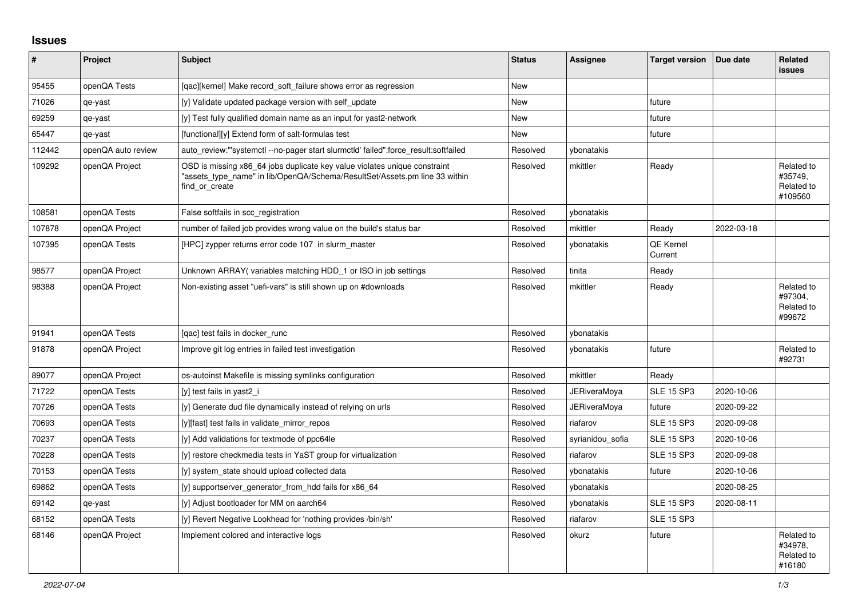## **Issues**

| ∦      | Project            | Subject                                                                                                                                                                   | <b>Status</b> | Assignee            | <b>Target version</b>       | Due date   | Related<br><b>issues</b>                       |
|--------|--------------------|---------------------------------------------------------------------------------------------------------------------------------------------------------------------------|---------------|---------------------|-----------------------------|------------|------------------------------------------------|
| 95455  | openQA Tests       | [gac][kernel] Make record soft failure shows error as regression                                                                                                          | <b>New</b>    |                     |                             |            |                                                |
| 71026  | qe-yast            | [y] Validate updated package version with self update                                                                                                                     | New           |                     | future                      |            |                                                |
| 69259  | qe-yast            | [y] Test fully qualified domain name as an input for yast2-network                                                                                                        | New           |                     | future                      |            |                                                |
| 65447  | qe-yast            | [functional][y] Extend form of salt-formulas test                                                                                                                         | New           |                     | future                      |            |                                                |
| 112442 | openQA auto review | auto_review:"'systemctl --no-pager start slurmctld' failed":force_result:softfailed                                                                                       | Resolved      | vbonatakis          |                             |            |                                                |
| 109292 | openQA Project     | OSD is missing x86_64 jobs duplicate key value violates unique constraint<br>"assets_type_name" in lib/OpenQA/Schema/ResultSet/Assets.pm line 33 within<br>find or create | Resolved      | mkittler            | Ready                       |            | Related to<br>#35749,<br>Related to<br>#109560 |
| 108581 | openQA Tests       | False softfails in scc_registration                                                                                                                                       | Resolved      | ybonatakis          |                             |            |                                                |
| 107878 | openQA Project     | number of failed job provides wrong value on the build's status bar                                                                                                       | Resolved      | mkittler            | Ready                       | 2022-03-18 |                                                |
| 107395 | openQA Tests       | [HPC] zypper returns error code 107 in slurm master                                                                                                                       | Resolved      | vbonatakis          | <b>QE Kernel</b><br>Current |            |                                                |
| 98577  | openQA Project     | Unknown ARRAY (variables matching HDD 1 or ISO in job settings                                                                                                            | Resolved      | tinita              | Ready                       |            |                                                |
| 98388  | openQA Project     | Non-existing asset "uefi-vars" is still shown up on #downloads                                                                                                            | Resolved      | mkittler            | Ready                       |            | Related to<br>#97304.<br>Related to<br>#99672  |
| 91941  | openQA Tests       | [qac] test fails in docker_runc                                                                                                                                           | Resolved      | vbonatakis          |                             |            |                                                |
| 91878  | openQA Project     | Improve git log entries in failed test investigation                                                                                                                      | Resolved      | ybonatakis          | future                      |            | Related to<br>#92731                           |
| 89077  | openQA Project     | os-autoinst Makefile is missing symlinks configuration                                                                                                                    | Resolved      | mkittler            | Ready                       |            |                                                |
| 71722  | openQA Tests       | [y] test fails in yast2 i                                                                                                                                                 | Resolved      | <b>JERiveraMoya</b> | <b>SLE 15 SP3</b>           | 2020-10-06 |                                                |
| 70726  | openQA Tests       | [y] Generate dud file dynamically instead of relying on urls                                                                                                              | Resolved      | <b>JERiveraMoya</b> | future                      | 2020-09-22 |                                                |
| 70693  | openQA Tests       | [y][fast] test fails in validate_mirror_repos                                                                                                                             | Resolved      | riafarov            | <b>SLE 15 SP3</b>           | 2020-09-08 |                                                |
| 70237  | openQA Tests       | [y] Add validations for textmode of ppc64le                                                                                                                               | Resolved      | syrianidou_sofia    | <b>SLE 15 SP3</b>           | 2020-10-06 |                                                |
| 70228  | openQA Tests       | [y] restore checkmedia tests in YaST group for virtualization                                                                                                             | Resolved      | riafarov            | <b>SLE 15 SP3</b>           | 2020-09-08 |                                                |
| 70153  | openQA Tests       | [y] system_state should upload collected data                                                                                                                             | Resolved      | vbonatakis          | future                      | 2020-10-06 |                                                |
| 69862  | openQA Tests       | [y] supportserver generator from hdd fails for x86 64                                                                                                                     | Resolved      | vbonatakis          |                             | 2020-08-25 |                                                |
| 69142  | qe-yast            | [y] Adjust bootloader for MM on aarch64                                                                                                                                   | Resolved      | vbonatakis          | <b>SLE 15 SP3</b>           | 2020-08-11 |                                                |
| 68152  | openQA Tests       | [y] Revert Negative Lookhead for 'nothing provides /bin/sh'                                                                                                               | Resolved      | riafarov            | <b>SLE 15 SP3</b>           |            |                                                |
| 68146  | openQA Project     | Implement colored and interactive logs                                                                                                                                    | Resolved      | okurz               | future                      |            | Related to<br>#34978,<br>Related to<br>#16180  |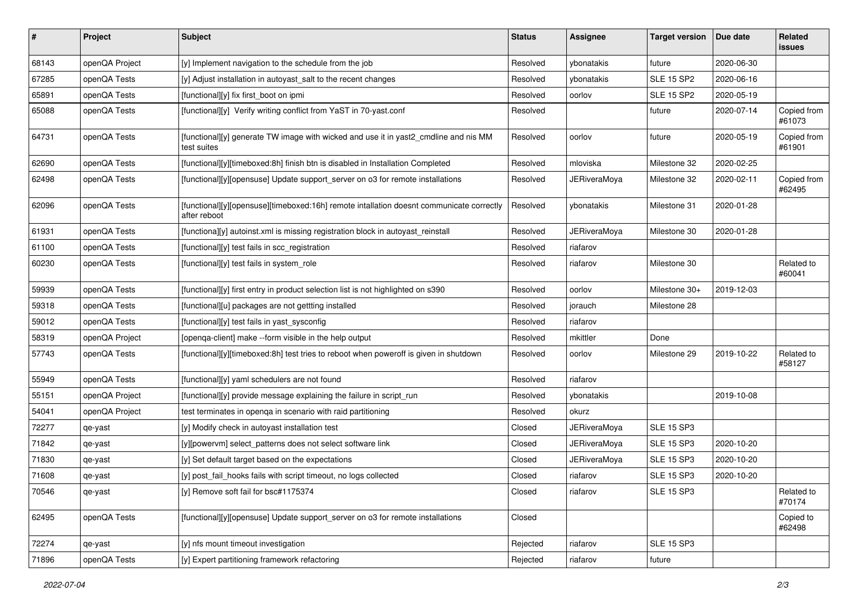| #     | Project        | <b>Subject</b>                                                                                           | <b>Status</b> | <b>Assignee</b>     | <b>Target version</b> | Due date   | Related<br><b>issues</b> |
|-------|----------------|----------------------------------------------------------------------------------------------------------|---------------|---------------------|-----------------------|------------|--------------------------|
| 68143 | openQA Project | [y] Implement navigation to the schedule from the job                                                    | Resolved      | ybonatakis          | future                | 2020-06-30 |                          |
| 67285 | openQA Tests   | [y] Adjust installation in autoyast_salt to the recent changes                                           | Resolved      | ybonatakis          | <b>SLE 15 SP2</b>     | 2020-06-16 |                          |
| 65891 | openQA Tests   | [functional][y] fix first_boot on ipmi                                                                   | Resolved      | oorlov              | <b>SLE 15 SP2</b>     | 2020-05-19 |                          |
| 65088 | openQA Tests   | [functional][y] Verify writing conflict from YaST in 70-yast.conf                                        | Resolved      |                     | future                | 2020-07-14 | Copied from<br>#61073    |
| 64731 | openQA Tests   | [functional][y] generate TW image with wicked and use it in yast2_cmdline and nis MM<br>test suites      | Resolved      | oorlov              | future                | 2020-05-19 | Copied from<br>#61901    |
| 62690 | openQA Tests   | [functional][y][timeboxed:8h] finish btn is disabled in Installation Completed                           | Resolved      | mloviska            | Milestone 32          | 2020-02-25 |                          |
| 62498 | openQA Tests   | [functional][y][opensuse] Update support_server on o3 for remote installations                           | Resolved      | <b>JERiveraMoya</b> | Milestone 32          | 2020-02-11 | Copied from<br>#62495    |
| 62096 | openQA Tests   | [functional][y][opensuse][timeboxed:16h] remote intallation doesnt communicate correctly<br>after reboot | Resolved      | ybonatakis          | Milestone 31          | 2020-01-28 |                          |
| 61931 | openQA Tests   | [functiona][y] autoinst.xml is missing registration block in autoyast_reinstall                          | Resolved      | <b>JERiveraMoya</b> | Milestone 30          | 2020-01-28 |                          |
| 61100 | openQA Tests   | [functional][y] test fails in scc_registration                                                           | Resolved      | riafarov            |                       |            |                          |
| 60230 | openQA Tests   | [functional][y] test fails in system_role                                                                | Resolved      | riafarov            | Milestone 30          |            | Related to<br>#60041     |
| 59939 | openQA Tests   | [functional][y] first entry in product selection list is not highlighted on s390                         | Resolved      | oorlov              | Milestone 30+         | 2019-12-03 |                          |
| 59318 | openQA Tests   | [functional][u] packages are not gettting installed                                                      | Resolved      | jorauch             | Milestone 28          |            |                          |
| 59012 | openQA Tests   | [functional][y] test fails in yast_sysconfig                                                             | Resolved      | riafarov            |                       |            |                          |
| 58319 | openQA Project | [openqa-client] make --form visible in the help output                                                   | Resolved      | mkittler            | Done                  |            |                          |
| 57743 | openQA Tests   | [functional][y][timeboxed:8h] test tries to reboot when poweroff is given in shutdown                    | Resolved      | oorlov              | Milestone 29          | 2019-10-22 | Related to<br>#58127     |
| 55949 | openQA Tests   | [functional][y] yaml schedulers are not found                                                            | Resolved      | riafarov            |                       |            |                          |
| 55151 | openQA Project | [functional][y] provide message explaining the failure in script_run                                     | Resolved      | ybonatakis          |                       | 2019-10-08 |                          |
| 54041 | openQA Project | test terminates in openga in scenario with raid partitioning                                             | Resolved      | okurz               |                       |            |                          |
| 72277 | qe-yast        | [y] Modify check in autoyast installation test                                                           | Closed        | JERiveraMoya        | <b>SLE 15 SP3</b>     |            |                          |
| 71842 | qe-yast        | [y][powervm] select_patterns does not select software link                                               | Closed        | <b>JERiveraMoya</b> | <b>SLE 15 SP3</b>     | 2020-10-20 |                          |
| 71830 | qe-yast        | [y] Set default target based on the expectations                                                         | Closed        | <b>JERiveraMoya</b> | <b>SLE 15 SP3</b>     | 2020-10-20 |                          |
| 71608 | qe-yast        | [y] post_fail_hooks fails with script timeout, no logs collected                                         | Closed        | riafarov            | <b>SLE 15 SP3</b>     | 2020-10-20 |                          |
| 70546 | qe-yast        | [y] Remove soft fail for bsc#1175374                                                                     | Closed        | riafarov            | <b>SLE 15 SP3</b>     |            | Related to<br>#70174     |
| 62495 | openQA Tests   | [functional][y][opensuse] Update support_server on o3 for remote installations                           | Closed        |                     |                       |            | Copied to<br>#62498      |
| 72274 | qe-yast        | [y] nfs mount timeout investigation                                                                      | Rejected      | riafarov            | <b>SLE 15 SP3</b>     |            |                          |
| 71896 | openQA Tests   | [y] Expert partitioning framework refactoring                                                            | Rejected      | riafarov            | future                |            |                          |